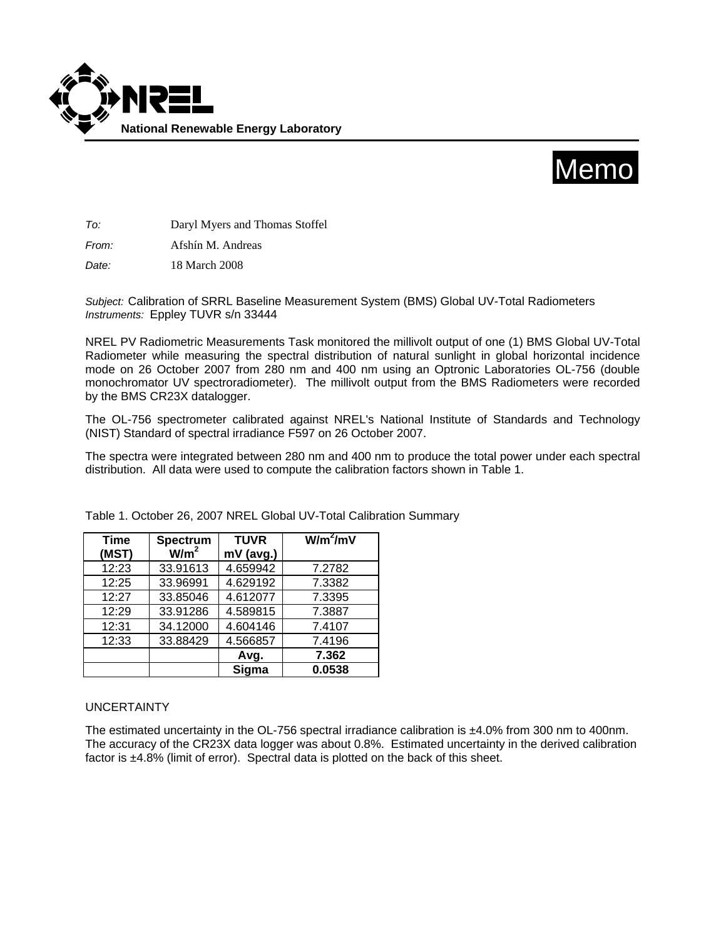



*To:* Daryl Myers and Thomas Stoffel

*From:* Afshín M. Andreas

*Date:* 18 March 2008

*Subject:* Calibration of SRRL Baseline Measurement System (BMS) Global UV-Total Radiometers *Instruments:* Eppley TUVR s/n 33444

NREL PV Radiometric Measurements Task monitored the millivolt output of one (1) BMS Global UV-Total Radiometer while measuring the spectral distribution of natural sunlight in global horizontal incidence mode on 26 October 2007 from 280 nm and 400 nm using an Optronic Laboratories OL-756 (double monochromator UV spectroradiometer). The millivolt output from the BMS Radiometers were recorded by the BMS CR23X datalogger.

The OL-756 spectrometer calibrated against NREL's National Institute of Standards and Technology (NIST) Standard of spectral irradiance F597 on 26 October 2007.

The spectra were integrated between 280 nm and 400 nm to produce the total power under each spectral distribution. All data were used to compute the calibration factors shown in Table 1.

| <b>Time</b> | Spectrum         | <b>TUVR</b> | $W/m^2/mV$ |
|-------------|------------------|-------------|------------|
| (MST)       | W/m <sup>2</sup> | mV (avg.)   |            |
| 12:23       | 33.91613         | 4.659942    | 7.2782     |
| 12:25       | 33.96991         | 4.629192    | 7.3382     |
| 12:27       | 33.85046         | 4.612077    | 7.3395     |
| 12:29       | 33.91286         | 4.589815    | 7.3887     |
| 12:31       | 34.12000         | 4.604146    | 7.4107     |
| 12:33       | 33.88429         | 4.566857    | 7.4196     |
|             |                  | Avg.        | 7.362      |
|             |                  | Sigma       | 0.0538     |

Table 1. October 26, 2007 NREL Global UV-Total Calibration Summary

## UNCERTAINTY

The estimated uncertainty in the OL-756 spectral irradiance calibration is ±4.0% from 300 nm to 400nm. The accuracy of the CR23X data logger was about 0.8%. Estimated uncertainty in the derived calibration factor is ±4.8% (limit of error). Spectral data is plotted on the back of this sheet.